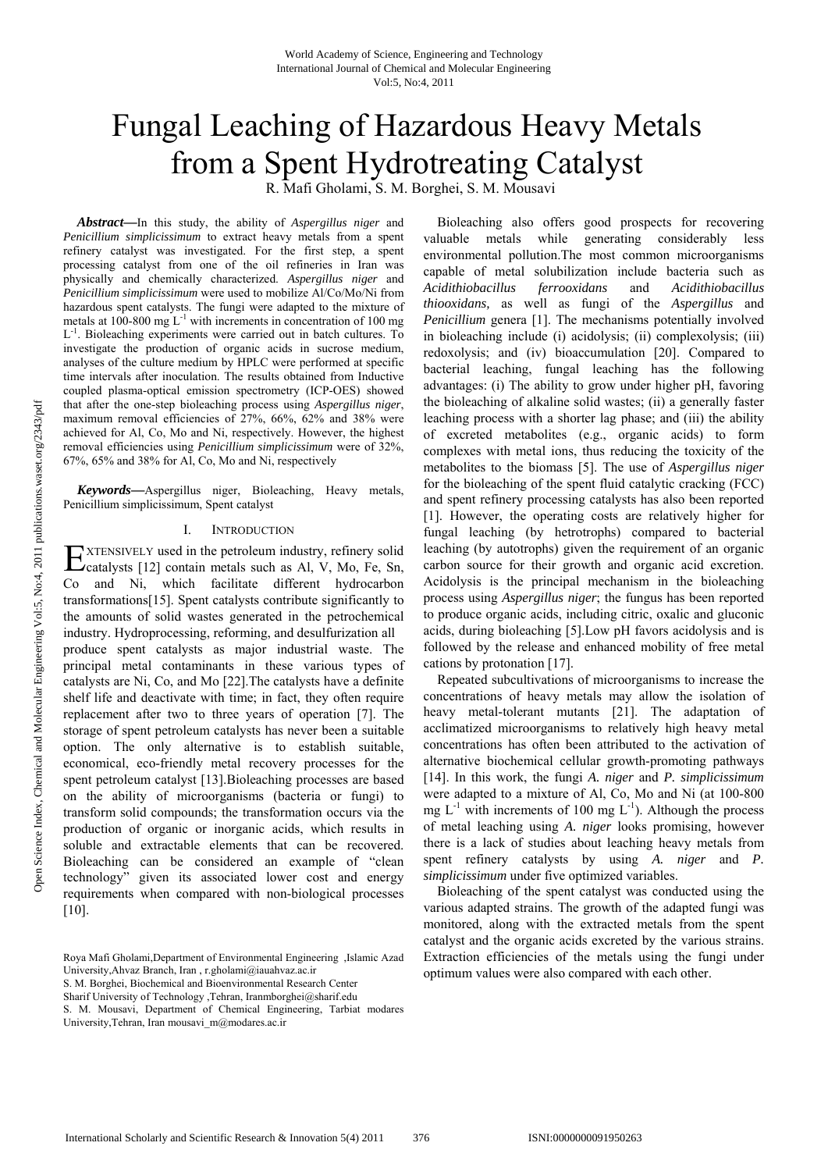# Fungal Leaching of Hazardous Heavy Metals from a Spent Hydrotreating Catalyst

R. Mafi Gholami, S. M. Borghei, S. M. Mousavi

*Abstract***—**In this study, the ability of *Aspergillus niger* and *Penicillium simplicissimum* to extract heavy metals from a spent refinery catalyst was investigated. For the first step, a spent processing catalyst from one of the oil refineries in Iran was physically and chemically characterized. *Aspergillus niger* and *Penicillium simplicissimum* were used to mobilize Al/Co/Mo/Ni from hazardous spent catalysts. The fungi were adapted to the mixture of metals at 100-800 mg  $L^{-1}$  with increments in concentration of 100 mg  $L^{-1}$ . Bioleaching experiments were carried out in batch cultures. To investigate the production of organic acids in sucrose medium, analyses of the culture medium by HPLC were performed at specific time intervals after inoculation. The results obtained from Inductive coupled plasma-optical emission spectrometry (ICP-OES) showed that after the one-step bioleaching process using *Aspergillus niger*, maximum removal efficiencies of 27%, 66%, 62% and 38% were achieved for Al, Co, Mo and Ni, respectively. However, the highest removal efficiencies using *Penicillium simplicissimum* were of 32%, 67%, 65% and 38% for Al, Co, Mo and Ni, respectively

*Keywords***—**Aspergillus niger, Bioleaching, Heavy metals, Penicillium simplicissimum, Spent catalyst

#### I. INTRODUCTION

XTENSIVELY used in the petroleum industry, refinery solid EXTENSIVELY used in the petroleum industry, refinery solid Ccatalysts [12] contain metals such as Al, V, Mo, Fe, Sn, Co and Ni, which facilitate different hydrocarbon transformations[15]. Spent catalysts contribute significantly to the amounts of solid wastes generated in the petrochemical industry. Hydroprocessing, reforming, and desulfurization all produce spent catalysts as major industrial waste. The principal metal contaminants in these various types of catalysts are Ni, Co, and Mo [22].The catalysts have a definite shelf life and deactivate with time; in fact, they often require replacement after two to three years of operation [7]. The storage of spent petroleum catalysts has never been a suitable option. The only alternative is to establish suitable, economical, eco-friendly metal recovery processes for the spent petroleum catalyst [13].Bioleaching processes are based on the ability of microorganisms (bacteria or fungi) to transform solid compounds; the transformation occurs via the production of organic or inorganic acids, which results in soluble and extractable elements that can be recovered. Bioleaching can be considered an example of "clean technology" given its associated lower cost and energy requirements when compared with non-biological processes [10].

Roya Mafi Gholami,Department of Environmental Engineering ,Islamic Azad University,Ahvaz Branch, Iran , r.gholami@iauahvaz.ac.ir S. M. Borghei, Biochemical and Bioenvironmental Research Center

Sharif University of Technology ,Tehran, Iranmborghei@sharif.edu

S. M. Mousavi, Department of Chemical Engineering, Tarbiat modares University,Tehran, Iran mousavi\_m@modares.ac.ir

Bioleaching also offers good prospects for recovering valuable metals while generating considerably less environmental pollution.The most common microorganisms capable of metal solubilization include bacteria such as *Acidithiobacillus ferrooxidans* and *Acidithiobacillus thiooxidans,* as well as fungi of the *Aspergillus* and *Penicillium* genera [1]. The mechanisms potentially involved in bioleaching include (i) acidolysis; (ii) complexolysis; (iii) redoxolysis; and (iv) bioaccumulation [20]. Compared to bacterial leaching, fungal leaching has the following advantages: (i) The ability to grow under higher pH, favoring the bioleaching of alkaline solid wastes; (ii) a generally faster leaching process with a shorter lag phase; and (iii) the ability of excreted metabolites (e.g., organic acids) to form complexes with metal ions, thus reducing the toxicity of the metabolites to the biomass [5]. The use of *Aspergillus niger* for the bioleaching of the spent fluid catalytic cracking (FCC) and spent refinery processing catalysts has also been reported [1]. However, the operating costs are relatively higher for fungal leaching (by hetrotrophs) compared to bacterial leaching (by autotrophs) given the requirement of an organic carbon source for their growth and organic acid excretion. Acidolysis is the principal mechanism in the bioleaching process using *Aspergillus niger*; the fungus has been reported to produce organic acids, including citric, oxalic and gluconic acids, during bioleaching [5].Low pH favors acidolysis and is followed by the release and enhanced mobility of free metal cations by protonation [17].

Repeated subcultivations of microorganisms to increase the concentrations of heavy metals may allow the isolation of heavy metal-tolerant mutants [21]. The adaptation of acclimatized microorganisms to relatively high heavy metal concentrations has often been attributed to the activation of alternative biochemical cellular growth-promoting pathways [14]. In this work, the fungi *A. niger* and *P. simplicissimum* were adapted to a mixture of Al, Co, Mo and Ni (at 100-800 mg  $L^{-1}$  with increments of 100 mg  $L^{-1}$ ). Although the process of metal leaching using *A. niger* looks promising, however there is a lack of studies about leaching heavy metals from spent refinery catalysts by using *A. niger* and *P. simplicissimum* under five optimized variables.

Bioleaching of the spent catalyst was conducted using the various adapted strains. The growth of the adapted fungi was monitored, along with the extracted metals from the spent catalyst and the organic acids excreted by the various strains. Extraction efficiencies of the metals using the fungi under optimum values were also compared with each other.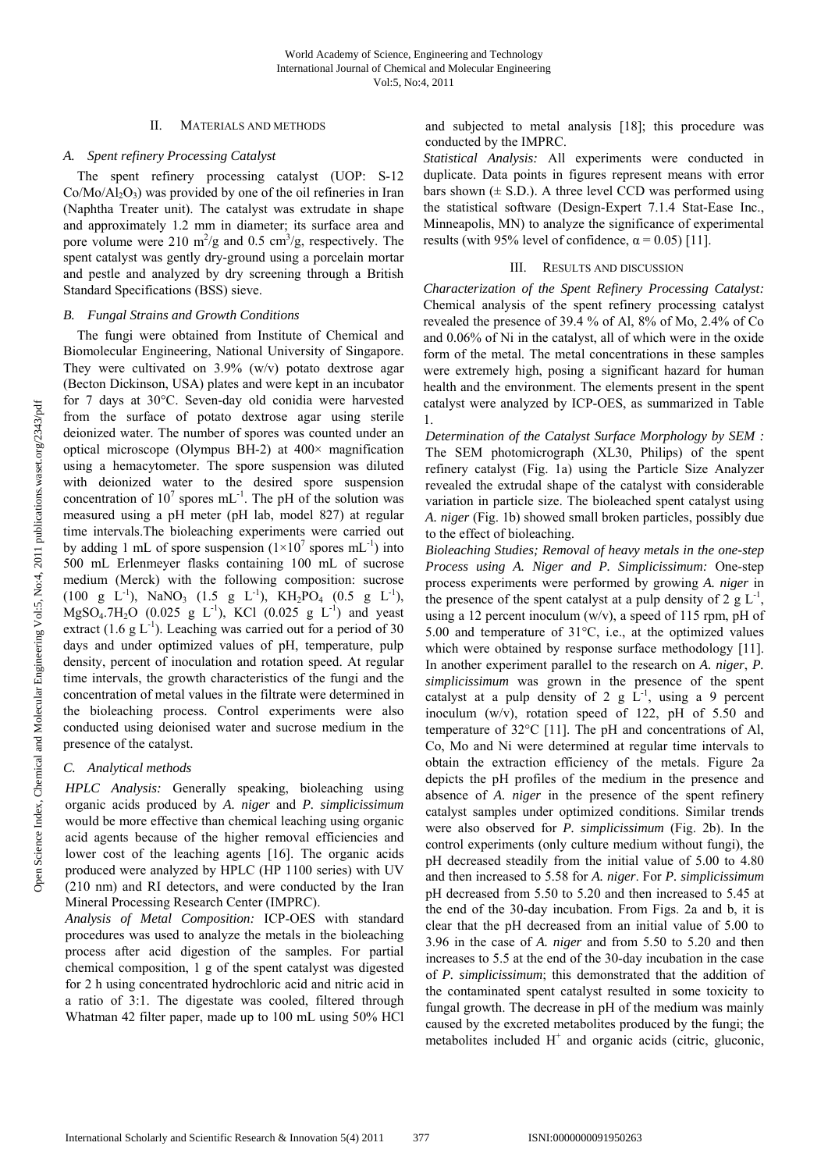# II. MATERIALS AND METHODS

# *A. Spent refinery Processing Catalyst*

The spent refinery processing catalyst (UOP: S-12  $Co/Mo/Al<sub>2</sub>O<sub>3</sub>$ ) was provided by one of the oil refineries in Iran (Naphtha Treater unit). The catalyst was extrudate in shape and approximately 1.2 mm in diameter; its surface area and pore volume were 210  $\text{m}^2/\text{g}$  and 0.5  $\text{cm}^3/\text{g}$ , respectively. The spent catalyst was gently dry-ground using a porcelain mortar and pestle and analyzed by dry screening through a British Standard Specifications (BSS) sieve.

## *B. Fungal Strains and Growth Conditions*

The fungi were obtained from Institute of Chemical and Biomolecular Engineering, National University of Singapore. They were cultivated on 3.9% (w/v) potato dextrose agar (Becton Dickinson, USA) plates and were kept in an incubator for 7 days at 30°C. Seven-day old conidia were harvested from the surface of potato dextrose agar using sterile deionized water. The number of spores was counted under an optical microscope (Olympus BH-2) at 400× magnification using a hemacytometer. The spore suspension was diluted with deionized water to the desired spore suspension concentration of  $10^7$  spores mL<sup>-1</sup>. The pH of the solution was measured using a pH meter (pH lab, model 827) at regular time intervals.The bioleaching experiments were carried out by adding 1 mL of spore suspension  $(1 \times 10^7$  spores mL<sup>-1</sup>) into 500 mL Erlenmeyer flasks containing 100 mL of sucrose medium (Merck) with the following composition: sucrose  $(100 \text{ g } L^{-1})$ , NaNO<sub>3</sub>  $(1.5 \text{ g } L^{-1})$ , KH<sub>2</sub>PO<sub>4</sub>  $(0.5 \text{ g } L^{-1})$ ,  $MgSO_4.7H_2O$  (0.025 g L<sup>-1</sup>), KCl (0.025 g L<sup>-1</sup>) and yeast extract  $(1.6 \text{ g L}^{-1})$ . Leaching was carried out for a period of 30 days and under optimized values of pH, temperature, pulp density, percent of inoculation and rotation speed. At regular time intervals, the growth characteristics of the fungi and the concentration of metal values in the filtrate were determined in the bioleaching process. Control experiments were also conducted using deionised water and sucrose medium in the presence of the catalyst.

# *C. Analytical methods*

*HPLC Analysis:* Generally speaking, bioleaching using organic acids produced by *A. niger* and *P. simplicissimum* would be more effective than chemical leaching using organic acid agents because of the higher removal efficiencies and lower cost of the leaching agents [16]. The organic acids produced were analyzed by HPLC (HP 1100 series) with UV (210 nm) and RI detectors, and were conducted by the Iran Mineral Processing Research Center (IMPRC).

*Analysis of Metal Composition:* ICP-OES with standard procedures was used to analyze the metals in the bioleaching process after acid digestion of the samples. For partial chemical composition, 1 g of the spent catalyst was digested for 2 h using concentrated hydrochloric acid and nitric acid in a ratio of 3:1. The digestate was cooled, filtered through Whatman 42 filter paper, made up to 100 mL using 50% HCl and subjected to metal analysis [18]; this procedure was conducted by the IMPRC.

*Statistical Analysis:* All experiments were conducted in duplicate. Data points in figures represent means with error bars shown  $(\pm S.D.)$ . A three level CCD was performed using the statistical software (Design-Expert 7.1.4 Stat-Ease Inc., Minneapolis, MN) to analyze the significance of experimental results (with 95% level of confidence,  $\alpha$  = 0.05) [11].

# III. RESULTS AND DISCUSSION

*Characterization of the Spent Refinery Processing Catalyst:*  Chemical analysis of the spent refinery processing catalyst revealed the presence of 39.4 % of Al, 8% of Mo, 2.4% of Co and 0.06% of Ni in the catalyst, all of which were in the oxide form of the metal. The metal concentrations in these samples were extremely high, posing a significant hazard for human health and the environment. The elements present in the spent catalyst were analyzed by ICP-OES, as summarized in Table 1.

*Determination of the Catalyst Surface Morphology by SEM :*  The SEM photomicrograph (XL30, Philips) of the spent refinery catalyst (Fig. 1a) using the Particle Size Analyzer revealed the extrudal shape of the catalyst with considerable variation in particle size. The bioleached spent catalyst using *A. niger* (Fig. 1b) showed small broken particles, possibly due to the effect of bioleaching.

*Bioleaching Studies; Removal of heavy metals in the one-step Process using A. Niger and P. Simplicissimum:* One-step process experiments were performed by growing *A. niger* in the presence of the spent catalyst at a pulp density of 2 g  $L^{-1}$ , using a 12 percent inoculum (w/v), a speed of 115 rpm, pH of 5.00 and temperature of 31°C, i.e., at the optimized values which were obtained by response surface methodology [11]. In another experiment parallel to the research on *A. niger*, *P. simplicissimum* was grown in the presence of the spent catalyst at a pulp density of 2 g  $\hat{L}^{-1}$ , using a 9 percent inoculum (w/v), rotation speed of 122, pH of 5.50 and temperature of 32°C [11]. The pH and concentrations of Al, Co, Mo and Ni were determined at regular time intervals to obtain the extraction efficiency of the metals. Figure 2a depicts the pH profiles of the medium in the presence and absence of *A. niger* in the presence of the spent refinery catalyst samples under optimized conditions. Similar trends were also observed for *P. simplicissimum* (Fig. 2b). In the control experiments (only culture medium without fungi), the pH decreased steadily from the initial value of 5.00 to 4.80 and then increased to 5.58 for *A. niger*. For *P. simplicissimum*  pH decreased from 5.50 to 5.20 and then increased to 5.45 at the end of the 30-day incubation. From Figs. 2a and b, it is clear that the pH decreased from an initial value of 5.00 to 3.96 in the case of *A. niger* and from 5.50 to 5.20 and then increases to 5.5 at the end of the 30-day incubation in the case of *P. simplicissimum*; this demonstrated that the addition of the contaminated spent catalyst resulted in some toxicity to fungal growth. The decrease in pH of the medium was mainly caused by the excreted metabolites produced by the fungi; the metabolites included  $H^+$  and organic acids (citric, gluconic,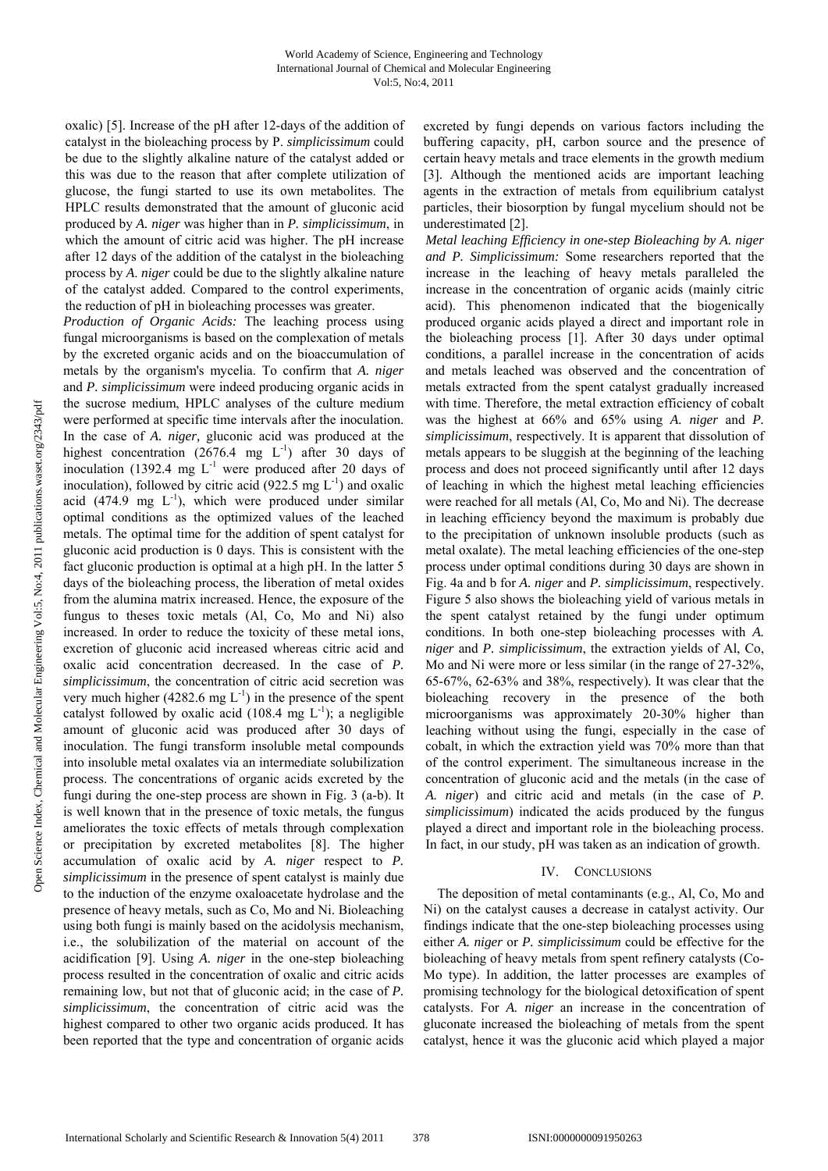oxalic) [5]. Increase of the pH after 12-days of the addition of catalyst in the bioleaching process by P. *simplicissimum* could be due to the slightly alkaline nature of the catalyst added or this was due to the reason that after complete utilization of glucose, the fungi started to use its own metabolites. The HPLC results demonstrated that the amount of gluconic acid produced by *A. niger* was higher than in *P. simplicissimum*, in which the amount of citric acid was higher. The pH increase after 12 days of the addition of the catalyst in the bioleaching process by *A*. *niger* could be due to the slightly alkaline nature of the catalyst added. Compared to the control experiments, the reduction of pH in bioleaching processes was greater.

*Production of Organic Acids:* The leaching process using fungal microorganisms is based on the complexation of metals by the excreted organic acids and on the bioaccumulation of metals by the organism's mycelia. To confirm that *A. niger* and *P. simplicissimum* were indeed producing organic acids in the sucrose medium, HPLC analyses of the culture medium were performed at specific time intervals after the inoculation. In the case of *A. niger,* gluconic acid was produced at the highest concentration  $(2676.4 \text{ mg } L^{-1})$  after 30 days of inoculation (1392.4 mg  $L^{-1}$  were produced after 20 days of inoculation), followed by citric acid (922.5 mg  $L^{-1}$ ) and oxalic acid (474.9 mg  $L^{-1}$ ), which were produced under similar optimal conditions as the optimized values of the leached metals. The optimal time for the addition of spent catalyst for gluconic acid production is 0 days. This is consistent with the fact gluconic production is optimal at a high pH. In the latter 5 days of the bioleaching process, the liberation of metal oxides from the alumina matrix increased. Hence, the exposure of the fungus to theses toxic metals (Al, Co, Mo and Ni) also increased. In order to reduce the toxicity of these metal ions, excretion of gluconic acid increased whereas citric acid and oxalic acid concentration decreased. In the case of *P. simplicissimum*, the concentration of citric acid secretion was very much higher (4282.6 mg  $L^{-1}$ ) in the presence of the spent catalyst followed by oxalic acid (108.4 mg  $L^{-1}$ ); a negligible amount of gluconic acid was produced after 30 days of inoculation. The fungi transform insoluble metal compounds into insoluble metal oxalates via an intermediate solubilization process. The concentrations of organic acids excreted by the fungi during the one-step process are shown in Fig. 3 (a-b). It is well known that in the presence of toxic metals, the fungus ameliorates the toxic effects of metals through complexation or precipitation by excreted metabolites [8]. The higher accumulation of oxalic acid by *A. niger* respect to *P. simplicissimum* in the presence of spent catalyst is mainly due to the induction of the enzyme oxaloacetate hydrolase and the presence of heavy metals, such as Co, Mo and Ni. Bioleaching using both fungi is mainly based on the acidolysis mechanism, i.e., the solubilization of the material on account of the acidification [9]. Using *A. niger* in the one-step bioleaching process resulted in the concentration of oxalic and citric acids remaining low, but not that of gluconic acid; in the case of *P. simplicissimum*, the concentration of citric acid was the highest compared to other two organic acids produced. It has been reported that the type and concentration of organic acids

excreted by fungi depends on various factors including the buffering capacity, pH, carbon source and the presence of certain heavy metals and trace elements in the growth medium [3]. Although the mentioned acids are important leaching agents in the extraction of metals from equilibrium catalyst particles, their biosorption by fungal mycelium should not be underestimated [2].

*Metal leaching Efficiency in one-step Bioleaching by A. niger and P. Simplicissimum:* Some researchers reported that the increase in the leaching of heavy metals paralleled the increase in the concentration of organic acids (mainly citric acid). This phenomenon indicated that the biogenically produced organic acids played a direct and important role in the bioleaching process [1]. After 30 days under optimal conditions, a parallel increase in the concentration of acids and metals leached was observed and the concentration of metals extracted from the spent catalyst gradually increased with time. Therefore, the metal extraction efficiency of cobalt was the highest at 66% and 65% using *A. niger* and *P. simplicissimum*, respectively. It is apparent that dissolution of metals appears to be sluggish at the beginning of the leaching process and does not proceed significantly until after 12 days of leaching in which the highest metal leaching efficiencies were reached for all metals (Al, Co, Mo and Ni). The decrease in leaching efficiency beyond the maximum is probably due to the precipitation of unknown insoluble products (such as metal oxalate). The metal leaching efficiencies of the one-step process under optimal conditions during 30 days are shown in Fig. 4a and b for *A. niger* and *P. simplicissimum*, respectively. Figure 5 also shows the bioleaching yield of various metals in the spent catalyst retained by the fungi under optimum conditions. In both one-step bioleaching processes with *A. niger* and *P. simplicissimum*, the extraction yields of Al, Co, Mo and Ni were more or less similar (in the range of 27-32%, 65-67%, 62-63% and 38%, respectively)*.* It was clear that the bioleaching recovery in the presence of the both microorganisms was approximately 20-30% higher than leaching without using the fungi, especially in the case of cobalt, in which the extraction yield was 70% more than that of the control experiment. The simultaneous increase in the concentration of gluconic acid and the metals (in the case of *A. niger*) and citric acid and metals (in the case of *P. simplicissimum*) indicated the acids produced by the fungus played a direct and important role in the bioleaching process. In fact, in our study, pH was taken as an indication of growth.

## IV. CONCLUSIONS

The deposition of metal contaminants (e.g., Al, Co, Mo and Ni) on the catalyst causes a decrease in catalyst activity. Our findings indicate that the one-step bioleaching processes using either *A. niger* or *P. simplicissimum* could be effective for the bioleaching of heavy metals from spent refinery catalysts (Co-Mo type). In addition, the latter processes are examples of promising technology for the biological detoxification of spent catalysts. For *A. niger* an increase in the concentration of gluconate increased the bioleaching of metals from the spent catalyst, hence it was the gluconic acid which played a major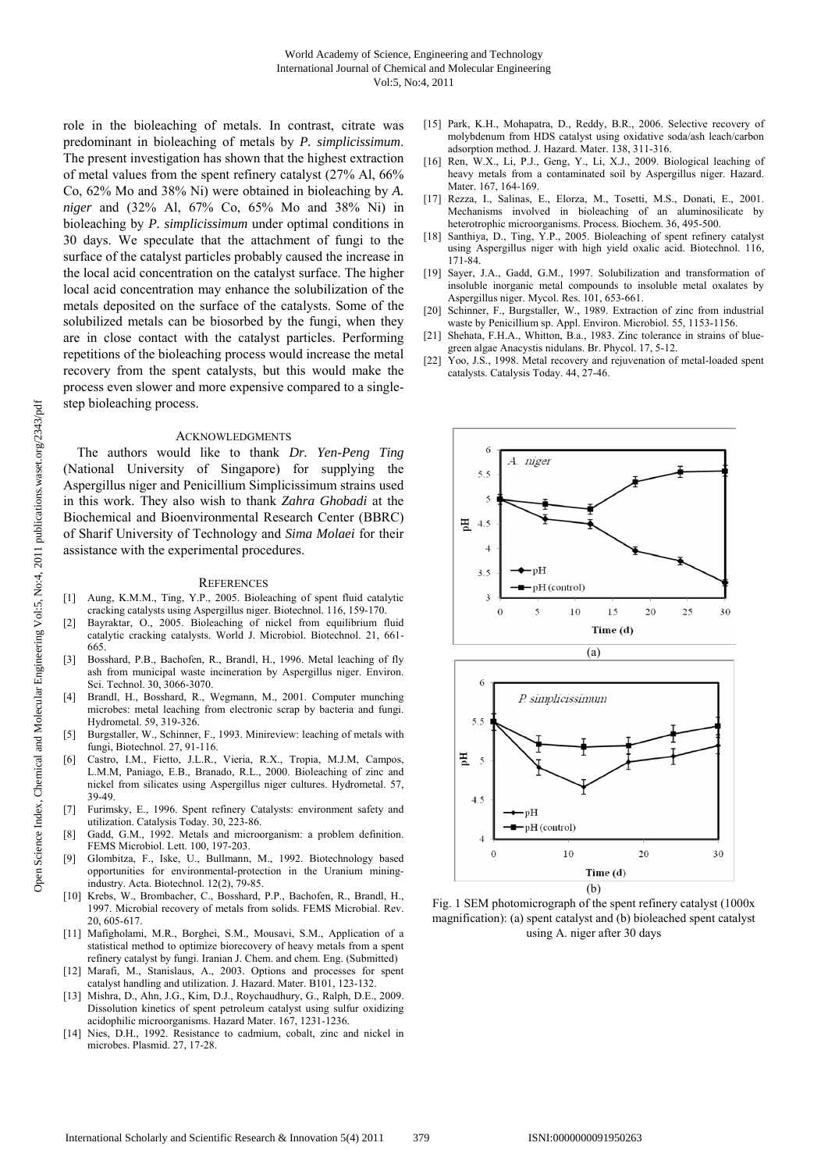role in the bioleaching of metals. In contrast, citrate was predominant in bioleaching of metals by *P. simplicissimum*. The present investigation has shown that the highest extraction of metal values from the spent refinery catalyst (27% Al, 66% Co, 62% Mo and 38% Ni) were obtained in bioleaching by *A. niger* and (32% Al, 67% Co, 65% Mo and 38% Ni) in bioleaching by *P. simplicissimum* under optimal conditions in 30 days. We speculate that the attachment of fungi to the surface of the catalyst particles probably caused the increase in the local acid concentration on the catalyst surface. The higher local acid concentration may enhance the solubilization of the metals deposited on the surface of the catalysts. Some of the solubilized metals can be biosorbed by the fungi, when they are in close contact with the catalyst particles. Performing repetitions of the bioleaching process would increase the metal recovery from the spent catalysts, but this would make the process even slower and more expensive compared to a singlestep bioleaching process.

#### ACKNOWLEDGMENTS

The authors would like to thank *Dr. Yen-Peng Ting* (National University of Singapore) for supplying the Aspergillus niger and Penicillium Simplicissimum strains used in this work. They also wish to thank *Zahra Ghobadi* at the Biochemical and Bioenvironmental Research Center (BBRC) of Sharif University of Technology and *Sima Molaei* for their assistance with the experimental procedures.

#### **REFERENCES**

- [1] Aung, K.M.M., Ting, Y.P., 2005. Bioleaching of spent fluid catalytic cracking catalysts using Aspergillus niger. Biotechnol. 116, 159-170.
- [2] Bayraktar, O., 2005. Bioleaching of nickel from equilibrium fluid catalytic cracking catalysts. World J. Microbiol. Biotechnol. 21, 661- 665.
- [3] Bosshard, P.B., Bachofen, R., Brandl, H., 1996. Metal leaching of fly ash from municipal waste incineration by Aspergillus niger. Environ. Sci. Technol. 30, 3066-3070.
- Brandl, H., Bosshard, R., Wegmann, M., 2001. Computer munching microbes: metal leaching from electronic scrap by bacteria and fungi. Hydrometal. 59, 319-326.
- [5] Burgstaller, W., Schinner, F., 1993. Minireview: leaching of metals with fungi, Biotechnol. 27, 91-116.
- [6] Castro, I.M., Fietto, J.L.R., Vieria, R.X., Tropia, M.J.M, Campos, L.M.M, Paniago, E.B., Branado, R.L., 2000. Bioleaching of zinc and nickel from silicates using Aspergillus niger cultures. Hydrometal. 57, 39-49.
- [7] Furimsky, E., 1996. Spent refinery Catalysts: environment safety and utilization. Catalysis Today. 30, 223-86.
- [8] Gadd, G.M., 1992. Metals and microorganism: a problem definition. FEMS Microbiol. Lett. 100, 197-203.
- [9] Glombitza, F., Iske, U., Bullmann, M., 1992. Biotechnology based opportunities for environmental-protection in the Uranium miningindustry. Acta. Biotechnol. 12(2), 79-85.
- [10] Krebs, W., Brombacher, C., Bosshard, P.P., Bachofen, R., Brandl, H., 1997. Microbial recovery of metals from solids. FEMS Microbial. Rev. 20, 605-617.
- [11] Mafigholami, M.R., Borghei, S.M., Mousavi, S.M., Application of a statistical method to optimize biorecovery of heavy metals from a spent refinery catalyst by fungi. Iranian J. Chem. and chem. Eng. (Submitted)
- [12] Marafi, M., Stanislaus, A., 2003. Options and processes for spent catalyst handling and utilization. J. Hazard. Mater. B101, 123-132.
- [13] Mishra, D., Ahn, J.G., Kim, D.J., Roychaudhury, G., Ralph, D.E., 2009. Dissolution kinetics of spent petroleum catalyst using sulfur oxidizing acidophilic microorganisms. Hazard Mater. 167, 1231-1236.
- [14] Nies, D.H., 1992. Resistance to cadmium, cobalt, zinc and nickel in microbes. Plasmid. 27, 17-28.
- [15] Park, K.H., Mohapatra, D., Reddy, B.R., 2006. Selective recovery of molybdenum from HDS catalyst using oxidative soda/ash leach/carbon adsorption method. J. Hazard. Mater. 138, 311-316.
- [16] Ren, W.X., Li, P.J., Geng, Y., Li, X.J., 2009. Biological leaching of heavy metals from a contaminated soil by Aspergillus niger. Hazard. Mater. 167, 164-169.
- [17] Rezza, I., Salinas, E., Elorza, M., Tosetti, M.S., Donati, E., 2001. Mechanisms involved in bioleaching of an aluminosilicate by heterotrophic microorganisms. Process. Biochem. 36, 495-500.
- [18] Santhiya, D., Ting, Y.P., 2005. Bioleaching of spent refinery catalyst using Aspergillus niger with high yield oxalic acid. Biotechnol. 116, 171-84.
- [19] Sayer, J.A., Gadd, G.M., 1997. Solubilization and transformation of insoluble inorganic metal compounds to insoluble metal oxalates by Aspergillus niger. Mycol. Res. 101, 653-661.
- [20] Schinner, F., Burgstaller, W., 1989. Extraction of zinc from industrial waste by Penicillium sp. Appl. Environ. Microbiol. 55, 1153-1156.
- [21] Shehata, F.H.A., Whitton, B.a., 1983. Zinc tolerance in strains of bluegreen algae Anacystis nidulans. Br. Phycol. 17, 5-12.
- [22] Yoo, J.S., 1998. Metal recovery and rejuvenation of metal-loaded spent catalysts. Catalysis Today. 44, 27-46.





Fig. 1 SEM photomicrograph of the spent refinery catalyst (1000x magnification): (a) spent catalyst and (b) bioleached spent catalyst using A. niger after 30 days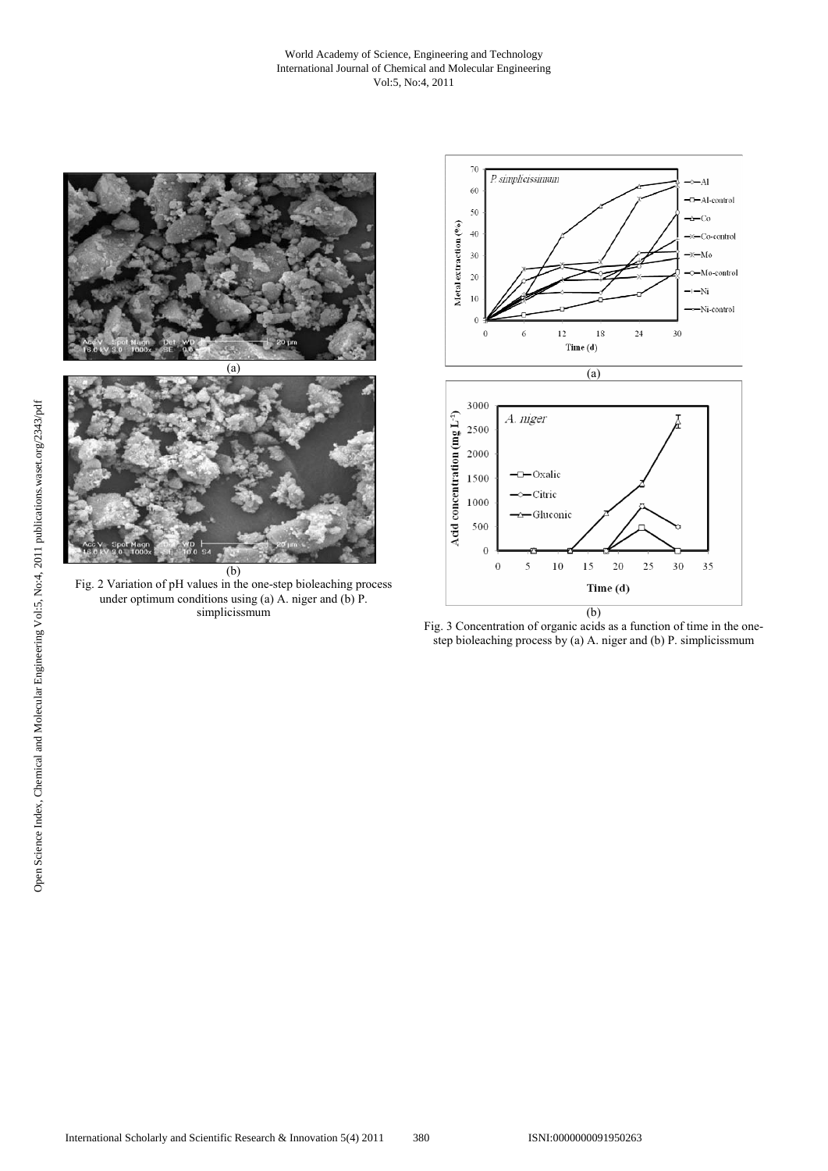#### World Academy of Science, Engineering and Technology International Journal of Chemical and Molecular Engineering Vol:5, No:4, 2011



Fig. 2 Variation of pH values in the one-step bioleaching process under optimum conditions using (a) A. niger and (b)  $\overrightarrow{P}$ . simplicissmum



Fig. 3 Concentration of organic acids as a function of time in the onestep bioleaching process by (a) A. niger and (b) P. simplicissmum